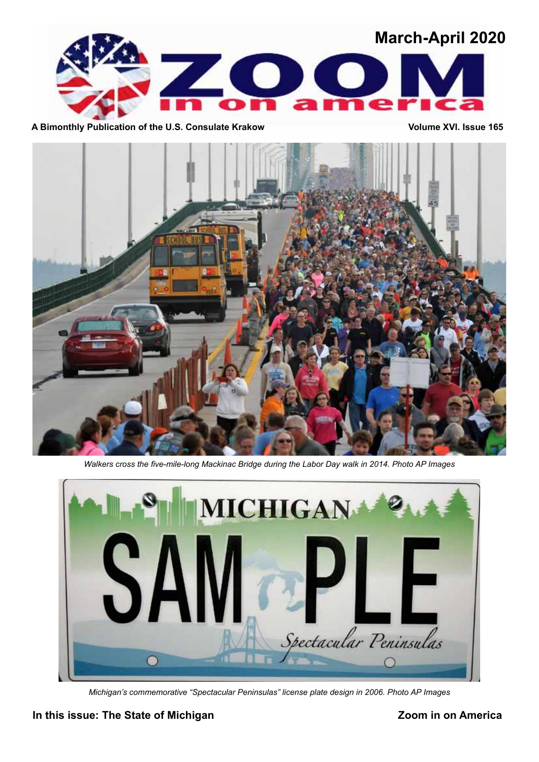

A Bimonthly Publication of the U.S. Consulate Krakow **Volume XVI.** Issue 165



*Walkers cross the five-mile-long Mackinac Bridge during the Labor Day walk in 2014. Photo AP Images*



*Michigan's commemorative "Spectacular Peninsulas" license plate design in 2006. Photo AP Images*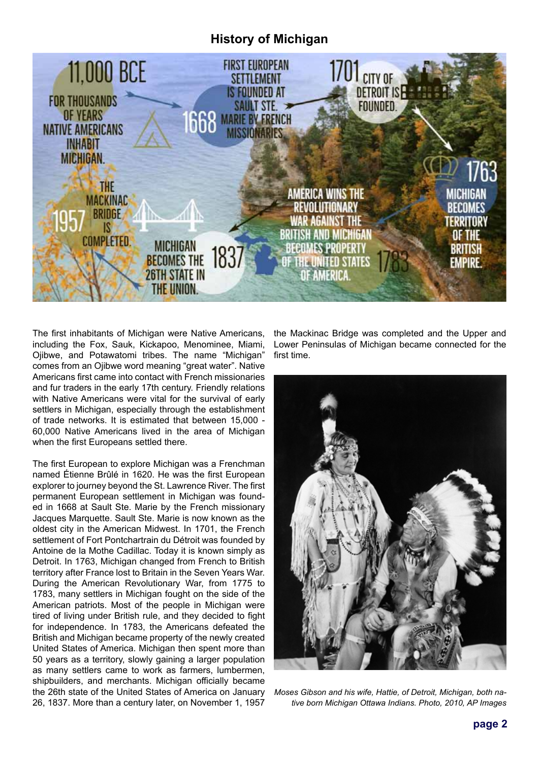## **History of Michigan**



The first inhabitants of Michigan were Native Americans, including the Fox, Sauk, Kickapoo, Menominee, Miami, Ojibwe, and Potawatomi tribes. The name "Michigan" comes from an Ojibwe word meaning "great water". Native Americans first came into contact with French missionaries and fur traders in the early 17th century. Friendly relations with Native Americans were vital for the survival of early settlers in Michigan, especially through the establishment of trade networks. It is estimated that between 15,000 - 60,000 Native Americans lived in the area of Michigan when the first Europeans settled there.

The first European to explore Michigan was a Frenchman named Étienne Brûlé in 1620. He was the first European explorer to journey beyond the St. Lawrence River. The first permanent European settlement in Michigan was founded in 1668 at Sault Ste. Marie by the French missionary Jacques Marquette. Sault Ste. Marie is now known as the oldest city in the American Midwest. In 1701, the French settlement of Fort Pontchartrain du Détroit was founded by Antoine de la Mothe Cadillac. Today it is known simply as Detroit. In 1763, Michigan changed from French to British territory after France lost to Britain in the Seven Years War. During the American Revolutionary War, from 1775 to 1783, many settlers in Michigan fought on the side of the American patriots. Most of the people in Michigan were tired of living under British rule, and they decided to fight for independence. In 1783, the Americans defeated the British and Michigan became property of the newly created United States of America. Michigan then spent more than 50 years as a territory, slowly gaining a larger population as many settlers came to work as farmers, lumbermen, shipbuilders, and merchants. Michigan officially became the 26th state of the United States of America on January 26, 1837. More than a century later, on November 1, 1957 the Mackinac Bridge was completed and the Upper and Lower Peninsulas of Michigan became connected for the first time.



*Moses Gibson and his wife, Hattie, of Detroit, Michigan, both native born Michigan Ottawa Indians. Photo, 2010, AP Images*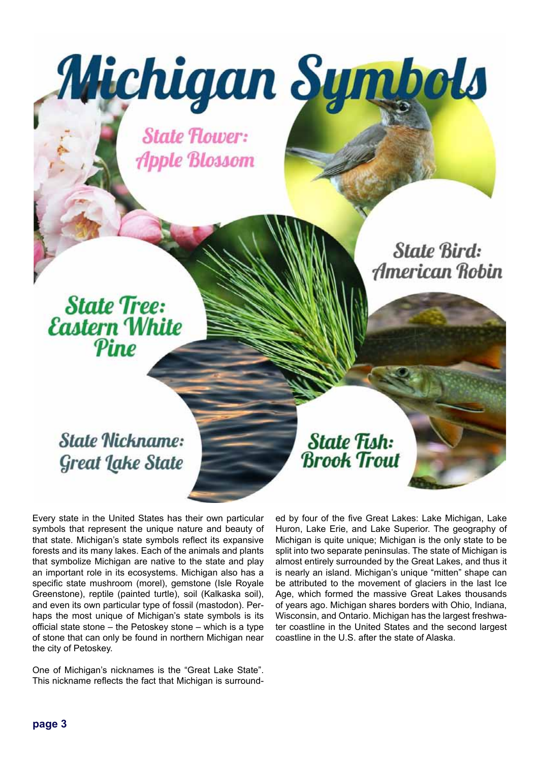**State Flower: Apple Blossom** 

Michigan Symbols

**State Nickname:** 

State Tree:<br>Eastern White

Pine

**Great Lake State** 

Every state in the United States has their own particular symbols that represent the unique nature and beauty of that state. Michigan's state symbols reflect its expansive forests and its many lakes. Each of the animals and plants that symbolize Michigan are native to the state and play an important role in its ecosystems. Michigan also has a specific state mushroom (morel), gemstone (Isle Royale Greenstone), reptile (painted turtle), soil (Kalkaska soil), and even its own particular type of fossil (mastodon). Perhaps the most unique of Michigan's state symbols is its official state stone – the Petoskey stone – which is a type of stone that can only be found in northern Michigan near the city of Petoskey.

One of Michigan's nicknames is the "Great Lake State". This nickname reflects the fact that Michigan is surrounded by four of the five Great Lakes: Lake Michigan, Lake Huron, Lake Erie, and Lake Superior. The geography of Michigan is quite unique; Michigan is the only state to be split into two separate peninsulas. The state of Michigan is almost entirely surrounded by the Great Lakes, and thus it is nearly an island. Michigan's unique "mitten" shape can be attributed to the movement of glaciers in the last Ice Age, which formed the massive Great Lakes thousands of years ago. Michigan shares borders with Ohio, Indiana, Wisconsin, and Ontario. Michigan has the largest freshwater coastline in the United States and the second largest coastline in the U.S. after the state of Alaska.

**State Fish:** 

**Brook Trout** 

**State Bird:** 

**American Robin**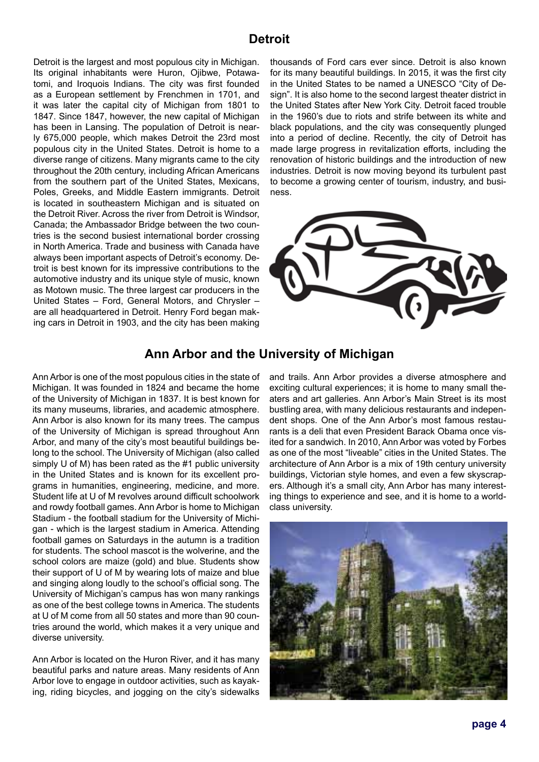## **Detroit**

Detroit is the largest and most populous city in Michigan. Its original inhabitants were Huron, Ojibwe, Potawatomi, and Iroquois Indians. The city was first founded as a European settlement by Frenchmen in 1701, and it was later the capital city of Michigan from 1801 to 1847. Since 1847, however, the new capital of Michigan has been in Lansing. The population of Detroit is nearly 675,000 people, which makes Detroit the 23rd most populous city in the United States. Detroit is home to a diverse range of citizens. Many migrants came to the city throughout the 20th century, including African Americans from the southern part of the United States, Mexicans, Poles, Greeks, and Middle Eastern immigrants. Detroit is located in southeastern Michigan and is situated on the Detroit River. Across the river from Detroit is Windsor, Canada; the Ambassador Bridge between the two countries is the second busiest international border crossing in North America. Trade and business with Canada have always been important aspects of Detroit's economy. Detroit is best known for its impressive contributions to the automotive industry and its unique style of music, known as Motown music. The three largest car producers in the United States – Ford, General Motors, and Chrysler – are all headquartered in Detroit. Henry Ford began making cars in Detroit in 1903, and the city has been making thousands of Ford cars ever since. Detroit is also known for its many beautiful buildings. In 2015, it was the first city in the United States to be named a UNESCO "City of Design". It is also home to the second largest theater district in the United States after New York City. Detroit faced trouble in the 1960's due to riots and strife between its white and black populations, and the city was consequently plunged into a period of decline. Recently, the city of Detroit has made large progress in revitalization efforts, including the renovation of historic buildings and the introduction of new industries. Detroit is now moving beyond its turbulent past to become a growing center of tourism, industry, and business.



## **Ann Arbor and the University of Michigan**

Ann Arbor is one of the most populous cities in the state of Michigan. It was founded in 1824 and became the home of the University of Michigan in 1837. It is best known for its many museums, libraries, and academic atmosphere. Ann Arbor is also known for its many trees. The campus of the University of Michigan is spread throughout Ann Arbor, and many of the city's most beautiful buildings belong to the school. The University of Michigan (also called simply U of M) has been rated as the #1 public university in the United States and is known for its excellent programs in humanities, engineering, medicine, and more. Student life at U of M revolves around difficult schoolwork and rowdy football games. Ann Arbor is home to Michigan Stadium - the football stadium for the University of Michigan - which is the largest stadium in America. Attending football games on Saturdays in the autumn is a tradition for students. The school mascot is the wolverine, and the school colors are maize (gold) and blue. Students show their support of U of M by wearing lots of maize and blue and singing along loudly to the school's official song. The University of Michigan's campus has won many rankings as one of the best college towns in America. The students at U of M come from all 50 states and more than 90 countries around the world, which makes it a very unique and diverse university.

Ann Arbor is located on the Huron River, and it has many beautiful parks and nature areas. Many residents of Ann Arbor love to engage in outdoor activities, such as kayaking, riding bicycles, and jogging on the city's sidewalks

and trails. Ann Arbor provides a diverse atmosphere and exciting cultural experiences; it is home to many small theaters and art galleries. Ann Arbor's Main Street is its most bustling area, with many delicious restaurants and independent shops. One of the Ann Arbor's most famous restaurants is a deli that even President Barack Obama once visited for a sandwich. In 2010, Ann Arbor was voted by Forbes as one of the most "liveable" cities in the United States. The architecture of Ann Arbor is a mix of 19th century university buildings, Victorian style homes, and even a few skyscrapers. Although it's a small city, Ann Arbor has many interesting things to experience and see, and it is home to a worldclass university.

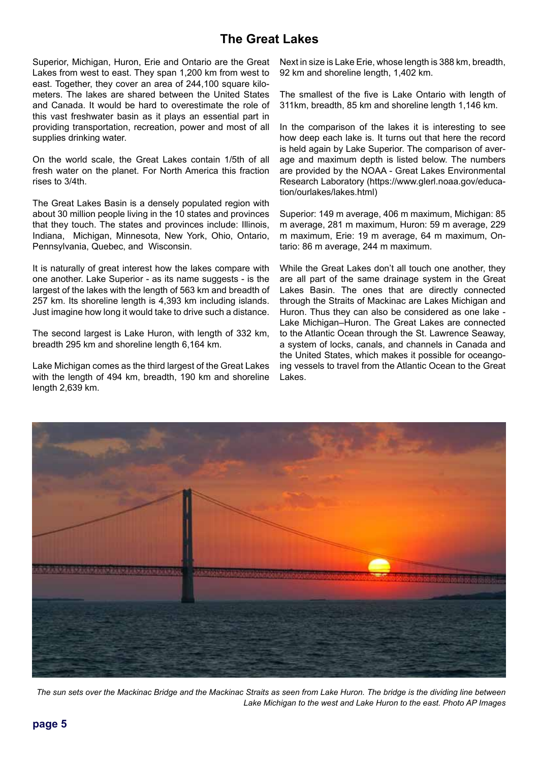# **The Great Lakes**

Superior, Michigan, Huron, Erie and Ontario are the Great Lakes from west to east. They span 1,200 km from west to east. Together, they cover an area of 244,100 square kilometers. The lakes are shared between the United States and Canada. It would be hard to overestimate the role of this vast freshwater basin as it plays an essential part in providing transportation, recreation, power and most of all supplies drinking water.

On the world scale, the Great Lakes contain 1/5th of all fresh water on the planet. For North America this fraction rises to 3/4th.

The Great Lakes Basin is a densely populated region with about 30 million people living in the 10 states and provinces that they touch. The states and provinces include: Illinois, Indiana, Michigan, Minnesota, New York, Ohio, Ontario, Pennsylvania, Quebec, and Wisconsin.

It is naturally of great interest how the lakes compare with one another. Lake Superior - as its name suggests - is the largest of the lakes with the length of 563 km and breadth of 257 km. Its shoreline length is 4,393 km including islands. Just imagine how long it would take to drive such a distance.

The second largest is Lake Huron, with length of 332 km, breadth 295 km and shoreline length 6,164 km.

Lake Michigan comes as the third largest of the Great Lakes with the length of 494 km, breadth, 190 km and shoreline length 2,639 km.

Next in size is Lake Erie, whose length is 388 km, breadth, 92 km and shoreline length, 1,402 km.

The smallest of the five is Lake Ontario with length of 311km, breadth, 85 km and shoreline length 1,146 km.

In the comparison of the lakes it is interesting to see how deep each lake is. It turns out that here the record is held again by Lake Superior. The comparison of average and maximum depth is listed below. The numbers are provided by the NOAA - Great Lakes Environmental Research Laboratory (https://www.glerl.noaa.gov/education/ourlakes/lakes.html)

Superior: 149 m average, 406 m maximum, Michigan: 85 m average, 281 m maximum, Huron: 59 m average, 229 m maximum, Erie: 19 m average, 64 m maximum, Ontario: 86 m average, 244 m maximum.

While the Great Lakes don't all touch one another, they are all part of the same drainage system in the Great Lakes Basin. The ones that are directly connected through the Straits of Mackinac are Lakes Michigan and Huron. Thus they can also be considered as one lake - Lake Michigan–Huron. The Great Lakes are connected to the Atlantic Ocean through the St. Lawrence Seaway, a system of locks, canals, and channels in Canada and the United States, which makes it possible for oceangoing vessels to travel from the Atlantic Ocean to the Great Lakes.



*The sun sets over the Mackinac Bridge and the Mackinac Straits as seen from Lake Huron. The bridge is the dividing line between Lake Michigan to the west and Lake Huron to the east. Photo AP Images*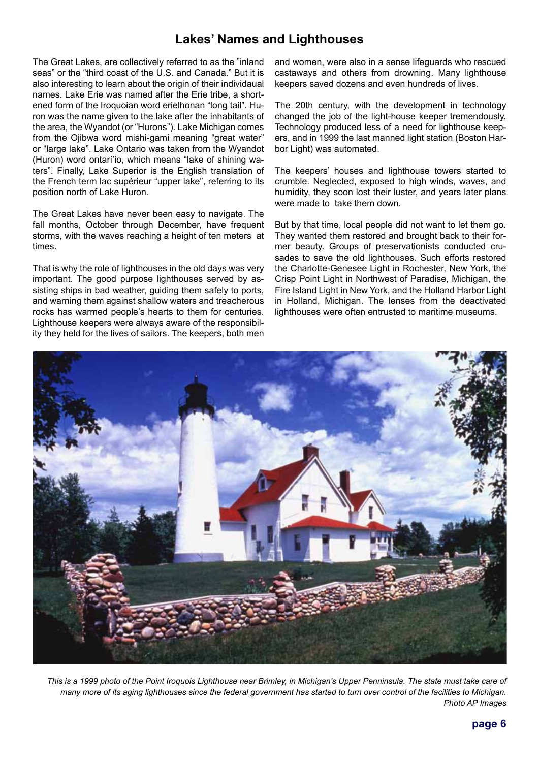# **Lakes' Names and Lighthouses**

The Great Lakes, are collectively referred to as the "inland seas" or the "third coast of the U.S. and Canada." But it is also interesting to learn about the origin of their individaual names. Lake Erie was named after the Erie tribe, a shortened form of the Iroquoian word erielhonan "long tail". Huron was the name given to the lake after the inhabitants of the area, the Wyandot (or "Hurons"). Lake Michigan comes from the Ojibwa word mishi-gami meaning "great water" or "large lake". Lake Ontario was taken from the Wyandot (Huron) word ontarí'io, which means "lake of shining waters". Finally, Lake Superior is the English translation of the French term lac supérieur "upper lake", referring to its position north of Lake Huron.

The Great Lakes have never been easy to navigate. The fall months, October through December, have frequent storms, with the waves reaching a height of ten meters at times.

That is why the role of lighthouses in the old days was very important. The good purpose lighthouses served by assisting ships in bad weather, guiding them safely to ports, and warning them against shallow waters and treacherous rocks has warmed people's hearts to them for centuries. Lighthouse keepers were always aware of the responsibility they held for the lives of sailors. The keepers, both men and women, were also in a sense lifeguards who rescued castaways and others from drowning. Many lighthouse keepers saved dozens and even hundreds of lives.

The 20th century, with the development in technology changed the job of the light-house keeper tremendously. Technology produced less of a need for lighthouse keepers, and in 1999 the last manned light station (Boston Harbor Light) was automated.

The keepers' houses and lighthouse towers started to crumble. Neglected, exposed to high winds, waves, and humidity, they soon lost their luster, and years later plans were made to take them down.

But by that time, local people did not want to let them go. They wanted them restored and brought back to their former beauty. Groups of preservationists conducted crusades to save the old lighthouses. Such efforts restored the Charlotte-Genesee Light in Rochester, New York, the Crisp Point Light in Northwest of Paradise, Michigan, the Fire Island Light in New York, and the Holland Harbor Light in Holland, Michigan. The lenses from the deactivated lighthouses were often entrusted to maritime museums.



 *This is a 1999 photo of the Point Iroquois Lighthouse near Brimley, in Michigan's Upper Penninsula. The state must take care of many more of its aging lighthouses since the federal government has started to turn over control of the facilities to Michigan. Photo AP Images*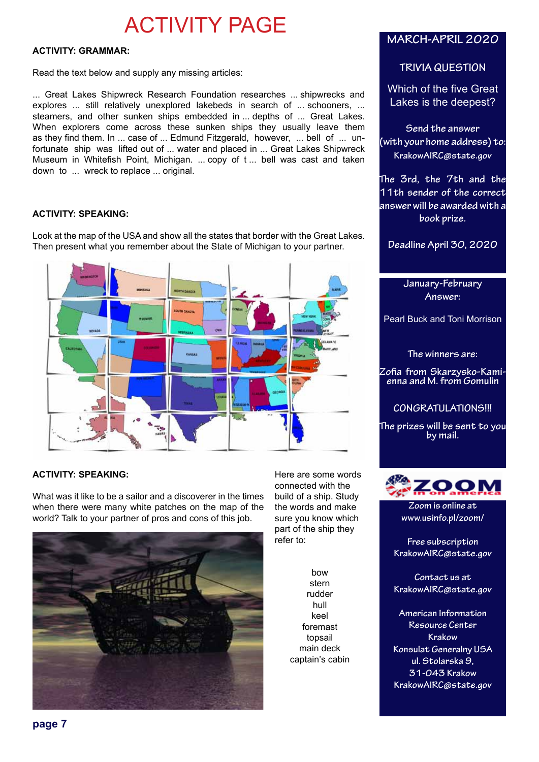# ACTIVITY PAGE

#### **ACTIVITY: GRAMMAR:**

Read the text below and supply any missing articles:

... Great Lakes Shipwreck Research Foundation researches ... shipwrecks and explores ... still relatively unexplored lakebeds in search of ... schooners, ... steamers, and other sunken ships embedded in ... depths of ... Great Lakes. When explorers come across these sunken ships they usually leave them as they find them. In ... case of ... Edmund Fitzgerald, however, ... bell of ... unfortunate ship was lifted out of ... water and placed in ... Great Lakes Shipwreck Museum in Whitefish Point, Michigan. ... copy of t ... bell was cast and taken down to ... wreck to replace ... original.

#### **ACTIVITY: SPEAKING:**

Look at the map of the USA and show all the states that border with the Great Lakes. Then present what you remember about the State of Michigan to your partner.



#### **ACTIVITY: SPEAKING:**

What was it like to be a sailor and a discoverer in the times when there were many white patches on the map of the world? Talk to your partner of pros and cons of this job.



Here are some words connected with the build of a ship. Study the words and make sure you know which part of the ship they refer to:

> bow stern rudder hull keel foremast topsail main deck captain's cabin

## **MARCH-APRIL 2020**

### **TRIVIA QUESTION**

Which of the five Great Lakes is the deepest?

**Send the answer (with your home address) to: KrakowAIRC@state.gov**

**The 3rd, the 7th and the 11th sender of the correct answer will be awarded with a book prize.**

**Deadline April 30, 2020**

**January-February Answer:** 

Pearl Buck and Toni Morrison

**The winners are:**

**Zofia from Skarzysko-Kami- enna and M. from Gomulin**

**CONGRATULATIONS!!!**

**The prizes will be sent to you by mail.**



**Zoom is online at www.usinfo.pl/zoom/**

**Free subscription KrakowAIRC@state.gov**

**Contact us at KrakowAIRC@state.gov**

**American Information Resource Center Krakow Konsulat Generalny USA ul. Stolarska 9, 31-043 Krakow KrakowAIRC@state.gov**

**page 7**